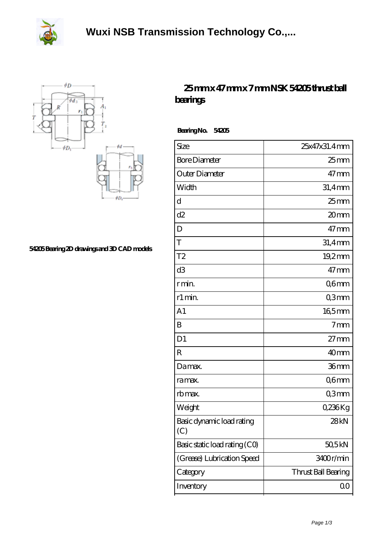



## **[54205 Bearing 2D drawings and 3D CAD models](https://herbal-circle.com/pic-371216.html)**

## **[25 mm x 47 mm x 7 mm NSK 54205 thrust ball](https://herbal-circle.com/nsk-54205-bearing/) [bearings](https://herbal-circle.com/nsk-54205-bearing/)**

 **Bearing No. 54205**

| Size                             | 25x47x31.4mm        |
|----------------------------------|---------------------|
| <b>Bore Diameter</b>             | $25$ mm             |
| Outer Diameter                   | $47$ mm             |
| Width                            | 31,4mm              |
| d                                | $25 \text{mm}$      |
| d2                               | 20mm                |
| D                                | $47 \,\mathrm{mm}$  |
| T                                | 31,4mm              |
| T <sub>2</sub>                   | $19,2$ mm           |
| d <sub>3</sub>                   | $47 \text{mm}$      |
| r min.                           | Q6mm                |
| r1 min.                          | Q3mm                |
| A <sub>1</sub>                   | 165mm               |
| B                                | 7 <sub>mm</sub>     |
| D <sub>1</sub>                   | $27 \text{mm}$      |
| R                                | 40mm                |
| Damax.                           | 36 <sub>mm</sub>    |
| ra max.                          | Q6mm                |
| rb max.                          | Q3mm                |
| Weight                           | 0,236Kg             |
| Basic dynamic load rating<br>(C) | 28kN                |
| Basic static load rating (CO)    | 50,5kN              |
| (Grease) Lubrication Speed       | 3400r/min           |
| Category                         | Thrust Ball Bearing |
| Inventory                        | 00                  |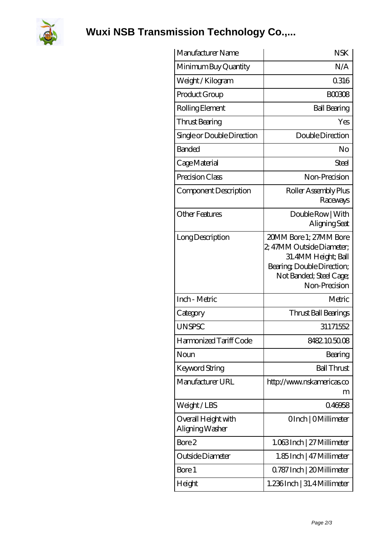

**[Wuxi NSB Transmission Technology Co.,...](https://herbal-circle.com)**

| Manufacturer Name                      | <b>NSK</b>                                                                                                                                           |
|----------------------------------------|------------------------------------------------------------------------------------------------------------------------------------------------------|
| Minimum Buy Quantity                   | N/A                                                                                                                                                  |
| Weight/Kilogram                        | 0316                                                                                                                                                 |
| Product Group                          | <b>BOO308</b>                                                                                                                                        |
| Rolling Element                        | <b>Ball Bearing</b>                                                                                                                                  |
| Thrust Bearing                         | Yes                                                                                                                                                  |
| Single or Double Direction             | Double Direction                                                                                                                                     |
| <b>Banded</b>                          | No                                                                                                                                                   |
| Cage Material                          | Steel                                                                                                                                                |
| Precision Class                        | Non-Precision                                                                                                                                        |
| Component Description                  | Roller Assembly Plus<br>Raceways                                                                                                                     |
| <b>Other Features</b>                  | Double Row   With<br>Aligning Seat                                                                                                                   |
| Long Description                       | 20MM Bore 1; 27MM Bore<br>2, 47MM Outside Diameter;<br>31.4MM Height; Ball<br>Bearing, Double Direction;<br>Not Banded; Steel Cage;<br>Non-Precision |
| Inch - Metric                          | Metric                                                                                                                                               |
| Category                               | Thrust Ball Bearings                                                                                                                                 |
| <b>UNSPSC</b>                          | 31171552                                                                                                                                             |
| Harmonized Tariff Code                 | 8482105008                                                                                                                                           |
| Noun                                   | Bearing                                                                                                                                              |
| Keyword String                         | <b>Ball Thrust</b>                                                                                                                                   |
| Manufacturer URL                       | http://www.nskamericas.co<br>m                                                                                                                       |
| Weight/LBS                             | 0.46958                                                                                                                                              |
| Overall Height with<br>Aligning Washer | OInch   OMillimeter                                                                                                                                  |
| Bore 2                                 | 1.063Inch   27 Millimeter                                                                                                                            |
| Outside Diameter                       | 1.85 Inch   47 Millimeter                                                                                                                            |
| Bore 1                                 | Q787 Inch   20 Millimeter                                                                                                                            |
| Height                                 | 1.236Inch   31.4 Millimeter                                                                                                                          |